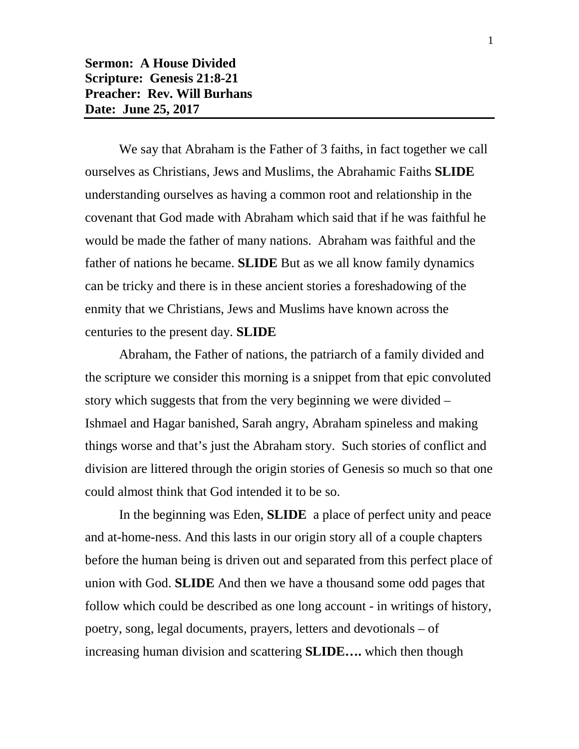**Sermon: A House Divided Scripture: Genesis 21:8-21 Preacher: Rev. Will Burhans Date: June 25, 2017**

We say that Abraham is the Father of 3 faiths, in fact together we call ourselves as Christians, Jews and Muslims, the Abrahamic Faiths **SLIDE** understanding ourselves as having a common root and relationship in the covenant that God made with Abraham which said that if he was faithful he would be made the father of many nations. Abraham was faithful and the father of nations he became. **SLIDE** But as we all know family dynamics can be tricky and there is in these ancient stories a foreshadowing of the enmity that we Christians, Jews and Muslims have known across the centuries to the present day. **SLIDE**

Abraham, the Father of nations, the patriarch of a family divided and the scripture we consider this morning is a snippet from that epic convoluted story which suggests that from the very beginning we were divided – Ishmael and Hagar banished, Sarah angry, Abraham spineless and making things worse and that's just the Abraham story. Such stories of conflict and division are littered through the origin stories of Genesis so much so that one could almost think that God intended it to be so.

In the beginning was Eden, **SLIDE** a place of perfect unity and peace and at-home-ness. And this lasts in our origin story all of a couple chapters before the human being is driven out and separated from this perfect place of union with God. **SLIDE** And then we have a thousand some odd pages that follow which could be described as one long account - in writings of history, poetry, song, legal documents, prayers, letters and devotionals – of increasing human division and scattering **SLIDE….** which then though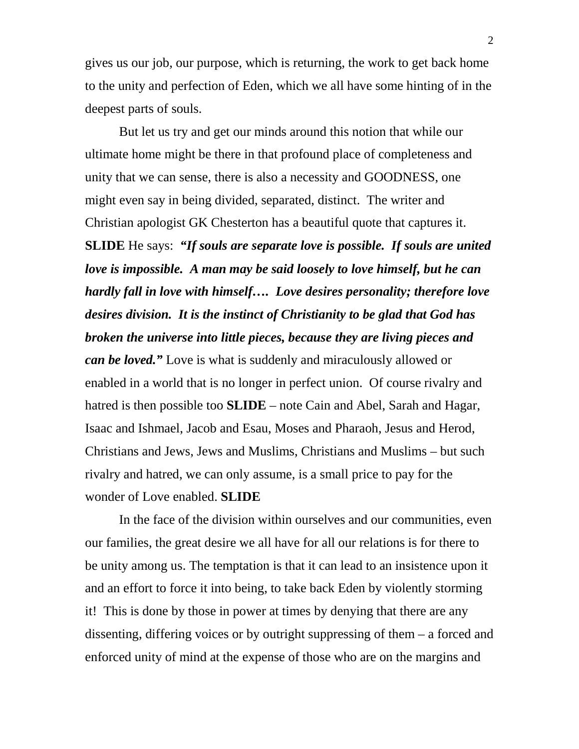gives us our job, our purpose, which is returning, the work to get back home to the unity and perfection of Eden, which we all have some hinting of in the deepest parts of souls.

But let us try and get our minds around this notion that while our ultimate home might be there in that profound place of completeness and unity that we can sense, there is also a necessity and GOODNESS, one might even say in being divided, separated, distinct. The writer and Christian apologist GK Chesterton has a beautiful quote that captures it. **SLIDE** He says: *"If souls are separate love is possible. If souls are united love is impossible. A man may be said loosely to love himself, but he can hardly fall in love with himself…. Love desires personality; therefore love desires division. It is the instinct of Christianity to be glad that God has broken the universe into little pieces, because they are living pieces and can be loved."* Love is what is suddenly and miraculously allowed or enabled in a world that is no longer in perfect union. Of course rivalry and hatred is then possible too **SLIDE** – note Cain and Abel, Sarah and Hagar, Isaac and Ishmael, Jacob and Esau, Moses and Pharaoh, Jesus and Herod, Christians and Jews, Jews and Muslims, Christians and Muslims – but such rivalry and hatred, we can only assume, is a small price to pay for the wonder of Love enabled. **SLIDE**

In the face of the division within ourselves and our communities, even our families, the great desire we all have for all our relations is for there to be unity among us. The temptation is that it can lead to an insistence upon it and an effort to force it into being, to take back Eden by violently storming it! This is done by those in power at times by denying that there are any dissenting, differing voices or by outright suppressing of them – a forced and enforced unity of mind at the expense of those who are on the margins and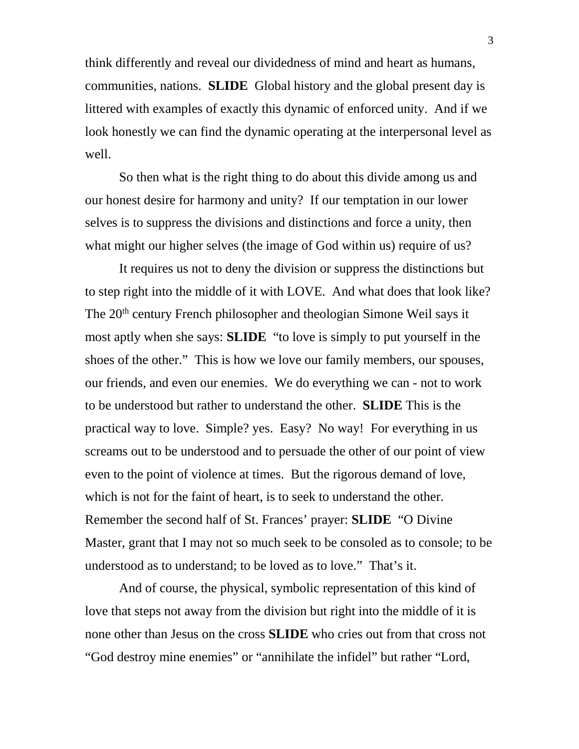think differently and reveal our dividedness of mind and heart as humans, communities, nations. **SLIDE** Global history and the global present day is littered with examples of exactly this dynamic of enforced unity. And if we look honestly we can find the dynamic operating at the interpersonal level as well.

So then what is the right thing to do about this divide among us and our honest desire for harmony and unity? If our temptation in our lower selves is to suppress the divisions and distinctions and force a unity, then what might our higher selves (the image of God within us) require of us?

It requires us not to deny the division or suppress the distinctions but to step right into the middle of it with LOVE. And what does that look like? The 20th century French philosopher and theologian Simone Weil says it most aptly when she says: **SLIDE** "to love is simply to put yourself in the shoes of the other." This is how we love our family members, our spouses, our friends, and even our enemies. We do everything we can - not to work to be understood but rather to understand the other. **SLIDE** This is the practical way to love. Simple? yes. Easy? No way! For everything in us screams out to be understood and to persuade the other of our point of view even to the point of violence at times. But the rigorous demand of love, which is not for the faint of heart, is to seek to understand the other. Remember the second half of St. Frances' prayer: **SLIDE** "O Divine Master, grant that I may not so much seek to be consoled as to console; to be understood as to understand; to be loved as to love." That's it.

And of course, the physical, symbolic representation of this kind of love that steps not away from the division but right into the middle of it is none other than Jesus on the cross **SLIDE** who cries out from that cross not "God destroy mine enemies" or "annihilate the infidel" but rather "Lord,